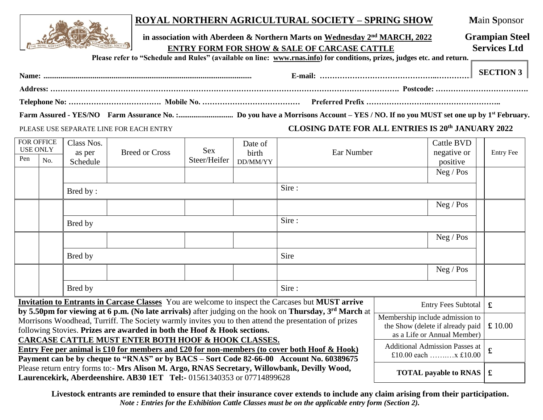

## **ROYAL NORTHERN AGRICULTURAL SOCIETY – SPRING SHOW M**ain **S**ponsor

| THE ROOM POST OF BUILDING | in association with Aberdeen & Northern Marts on Wednesday $2nd MARCH$ , 2022 | <b>Grampian Steel</b> |  |  |
|---------------------------|-------------------------------------------------------------------------------|-----------------------|--|--|
|                           | <b>ENTRY FORM FOR SHOW &amp; SALE OF CARCASE CATTLE</b>                       | <b>Services Ltd</b>   |  |  |

**Please refer to "Schedule and Rules" (available on line: [www.rnas.info\)](http://www.rnas.info/) for conditions, prizes, judges etc. and return.**

| <b>Name:</b> | E-mail: | <b>SECTION</b> : |
|--------------|---------|------------------|
|              |         |                  |
|              |         |                  |

**Farm Assured - YES/NO Farm Assurance No. :............................. Do you have a Morrisons Account – YES / NO. If no you MUST set one up by 1st February.**

## PLEASE USE SEPARATE LINE FOR EACH ENTRY **CLOSING DATE FOR ALL ENTRIES IS 20 th JANUARY 2022**

| <b>FOR OFFICE</b><br><b>USE ONLY</b>                                                                                                                                                                                                                                                                                                                                                                         |                                                                                                                                                                                                                                                                                                                                        | Class Nos.<br><b>Breed or Cross</b><br>as per |  | Date of<br><b>Sex</b><br>birth | Ear Number |  | <b>Cattle BVD</b><br>negative or | <b>Entry Fee</b> |             |  |
|--------------------------------------------------------------------------------------------------------------------------------------------------------------------------------------------------------------------------------------------------------------------------------------------------------------------------------------------------------------------------------------------------------------|----------------------------------------------------------------------------------------------------------------------------------------------------------------------------------------------------------------------------------------------------------------------------------------------------------------------------------------|-----------------------------------------------|--|--------------------------------|------------|--|----------------------------------|------------------|-------------|--|
| Pen                                                                                                                                                                                                                                                                                                                                                                                                          | No.                                                                                                                                                                                                                                                                                                                                    | Schedule                                      |  | Steer/Heifer<br>DD/MM/YY       |            |  |                                  | positive         |             |  |
|                                                                                                                                                                                                                                                                                                                                                                                                              |                                                                                                                                                                                                                                                                                                                                        |                                               |  |                                |            |  |                                  | Neg / Pos        |             |  |
|                                                                                                                                                                                                                                                                                                                                                                                                              | Bred by:                                                                                                                                                                                                                                                                                                                               |                                               |  |                                | Sire:      |  |                                  |                  |             |  |
|                                                                                                                                                                                                                                                                                                                                                                                                              |                                                                                                                                                                                                                                                                                                                                        |                                               |  |                                |            |  |                                  | Neg / Pos        |             |  |
|                                                                                                                                                                                                                                                                                                                                                                                                              | Bred by                                                                                                                                                                                                                                                                                                                                |                                               |  |                                | Sire:      |  |                                  |                  |             |  |
|                                                                                                                                                                                                                                                                                                                                                                                                              |                                                                                                                                                                                                                                                                                                                                        |                                               |  |                                |            |  |                                  | Neg / Pos        |             |  |
|                                                                                                                                                                                                                                                                                                                                                                                                              | Bred by                                                                                                                                                                                                                                                                                                                                |                                               |  |                                | Sire       |  |                                  |                  |             |  |
|                                                                                                                                                                                                                                                                                                                                                                                                              |                                                                                                                                                                                                                                                                                                                                        |                                               |  |                                |            |  |                                  | Neg / Pos        |             |  |
|                                                                                                                                                                                                                                                                                                                                                                                                              | Bred by                                                                                                                                                                                                                                                                                                                                |                                               |  |                                | Sire:      |  |                                  |                  |             |  |
|                                                                                                                                                                                                                                                                                                                                                                                                              | <b>Invitation to Entrants in Carcase Classes</b> You are welcome to inspect the Carcases but MUST arrive<br><b>Entry Fees Subtotal</b>                                                                                                                                                                                                 |                                               |  |                                |            |  |                                  | £                |             |  |
| by 5.50pm for viewing at 6 p.m. (No late arrivals) after judging on the hook on Thursday, 3 <sup>rd</sup> March at<br>Membership include admission to<br>Morrisons Woodhead, Turriff. The Society warmly invites you to then attend the presentation of prizes<br>the Show (delete if already paid<br>following Stovies. Prizes are awarded in both the Hoof & Hook sections.<br>as a Life or Annual Member) |                                                                                                                                                                                                                                                                                                                                        |                                               |  |                                |            |  |                                  | £ 10.00          |             |  |
|                                                                                                                                                                                                                                                                                                                                                                                                              | <b>CARCASE CATTLE MUST ENTER BOTH HOOF &amp; HOOK CLASSES.</b><br><b>Additional Admission Passes at</b><br>Entry Fee per animal is £10 for members and £20 for non-members (to cover both Hoof $\&$ Hook)<br>£10.00 each $x \text{ £}10.00$<br>Payment can be by cheque to "RNAS" or by BACS - Sort Code 82-66-00 Account No. 60389675 |                                               |  |                                |            |  |                                  |                  | $\mathbf f$ |  |
|                                                                                                                                                                                                                                                                                                                                                                                                              | Please return entry forms to:- Mrs Alison M. Argo, RNAS Secretary, Willowbank, Devilly Wood,<br><b>TOTAL</b> payable to RNAS $\ \mathbf{\pounds}$<br>Laurencekirk, Aberdeenshire. AB30 1ET Tel:- 01561340353 or 07714899628                                                                                                            |                                               |  |                                |            |  |                                  |                  |             |  |

**Livestock entrants are reminded to ensure that their insurance cover extends to include any claim arising from their participation.** *Note : Entries for the Exhibition Cattle Classes must be on the applicable entry form (Section 2).*